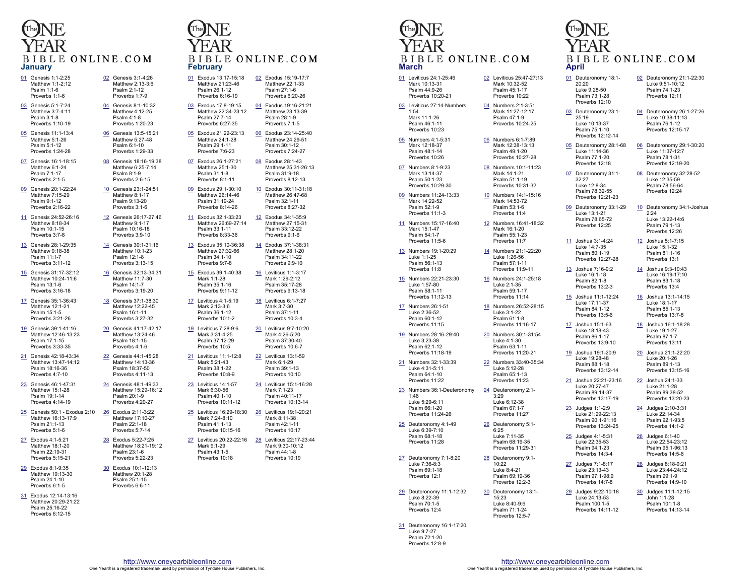

02 Genesis 3:1-4:26 Matthew 2:13-3:6 Psalm 2:1-12 Proverbs 1:7-9

04 Genesis 8:1-10:32 Matthew 4:12-25 Psalm 4:1-8 Proverbs 1:20-23

06 Genesis 13:5-15:21 Matthew 5:27-48 Psalm 6:1-10 Proverbs 1:29-33

08 Genesis 18:16-19:38 Matthew 6:25-7:14 Psalm 8:1-9 Proverbs 2:6-15

10 Genesis 23:1-24:51 Matthew 8:1-17 Psalm 9:13-20 Proverbs 3:1-6

12 Genesis 26:17-27:46 Matthew 9:1-17 Psalm 10:16-18 Proverbs 3:9-10

14 Genesis 30:1-31:16 Matthew 10:1-23 Psalm 12:1-8 Proverbs 3:13-15

16 Genesis 32:13-34:31 Matthew 11:7-30 Psalm 14:1-7 Proverbs 3:19-20

18 Genesis 37:1-38:30 Matthew 12:22-45 Psalm 16:1-11 Proverbs 3:27-32

20 Genesis 41:17-42:17 Matthew 13:24-46 Psalm 18:1-15 Proverbs 4:1-6

22 Genesis 44:1-45:28 Matthew 14:13-36 Psalm 18:37-50 Proverbs 4:11-13

24 Genesis 48:1-49:33 Matthew 15:29-16:12 Psalm 20:1-9 Proverbs 4:20-27

28 Exodus 5:22-7:25 Matthew 18:21-19:12 Psalm 23:1-6 Proverbs 5:22-23

30 Exodus 10:1-12:13 Matthew 20:1-28 Psalm 25:1-15 Proverbs 6:6-11

- 01 Genesis 1:1-2:25 Matthew 1:1-2:12 Psalm 1:1-6 Proverbs 1:1-6
- 03 Genesis 5:1-7:24 Matthew 3:7-4:11 Psalm 3:1-8
- Proverbs 1:10-19 05 Genesis 11:1-13:4 Matthew 5:1-26 Psalm 5:1-12
- Proverbs 1:24-28 07 Genesis 16:1-18:15 Matthew 6:1-24 Psalm 7:1-17 Proverbs 2:1-5
- 09 Genesis 20:1-22:24 Matthew 7:15-29 Psalm 9:1-12 Proverbs 2:16-22
- 11 Genesis 24:52-26:16 Matthew 8:18-34 Psalm 10:1-15 Proverbs 3:7-8
- 13 Genesis 28:1-29:35 Matthew 9:18-38 Psalm 11:1-7 Proverbs 3:11-12
- 15 Genesis 31:17-32:12 Matthew 10:24-11:6 Psalm 13:1-6 Proverbs 3:16-18
- 17 Genesis 35:1-36:43 Matthew 12:1-21 Psalm 15:1-5 Proverbs 3:21-26
- 19 Genesis 39:1-41:16 Matthew 12:46-13:23 Psalm 17:1-15 Proverbs 3:33-35
- 21 Genesis 42:18-43:34 Matthew 13:47-14:12 Psalm 18:16-36 Proverbs 4:7-10
- 23 Genesis 46:1-47:31 Matthew 15:1-28 Psalm 19:1-14 Proverbs 4:14-19
- 25 Genesis 50:1 Exodus 2:10 Matthew 16:13-17:9 Psalm 21:1-13 Proverbs 5:1-6 26 Exodus 2:11-3:22 Matthew 17:10-27 Psalm 22:1-18 Proverbs 5:7-14
- 27 Exodus 4:1-5:21 Matthew 18:1-20 Psalm 22:19-31 Proverbs 5:15-21
- 29 Exodus 8:1-9:35 Matthew 19:13-30 Psalm 24:1-10 Proverbs 6:1-5
- 31 Exodus 12:14-13:16 Matthew 20:29-21:22 Psalm 25:16-22 Proverbs 6:12-15

#### BIBLE ONLINE.COM **Februa**

| <b>February</b> |                                                                                |         |                                                                               |  |  |
|-----------------|--------------------------------------------------------------------------------|---------|-------------------------------------------------------------------------------|--|--|
|                 | 01 Exodus 13:17-15:18<br>Matthew 21:23-46<br>Psalm 26:1-12<br>Proverbs 6:16-19 |         | 02 Exodus 15:19-17:7<br>Matthew 22:1-33<br>Psalm 27:1-6<br>Proverbs 6:20-26   |  |  |
| 03              | Exodus 17:8-19:15<br>Matthew 22:34-23:12<br>Psalm 27:7-14<br>Proverbs 6:27-35  | 04      | Exodus 19:16-21:21<br>Matthew 23:13-39<br>Psalm 28:1-9<br>Proverbs 7:1-5      |  |  |
| 05              | Exodus 21:22-23:13<br>Matthew 24:1-28<br>Psalm 29:1-11<br>Proverbs 7:6-23      | 06      | Exodus 23:14-25:40<br>Matthew 24:29-51<br>Psalm 30:1-12<br>Proverbs 7:24-27   |  |  |
|                 | 07 Exodus 26:1-27:21<br>Matthew 25:1-30<br>Psalm 31:1-8<br>Proverbs 8:1-11     |         | 08 Exodus 28:1-43<br>Matthew 25:31-26:13<br>Psalm 31:9-18<br>Proverbs 8:12-13 |  |  |
| 09              | Exodus 29:1-30:10<br>Matthew 26:14-46<br>Psalm 31:19-24<br>Proverbs 8:14-26    | $10-10$ | Exodus 30:11-31:18<br>Matthew 26:47-68<br>Psalm 32:1-11<br>Proverbs 8:27-32   |  |  |
| 11              | Exodus 32:1-33:23<br>Matthew 26:69-27:14<br>Psalm 33:1-11<br>Proverbs 8:33-36  | 12      | Exodus 34:1-35:9<br>Matthew 27:15-31<br>Psalm 33:12-22<br>Proverbs 9:1-6      |  |  |
| 13              | Exodus 35:10-36:38<br>Matthew 27:32-66<br>Psalm 34:1-10<br>Proverbs 9:7-8      |         | 14 Exodus 37:1-38:31<br>Matthew 28:1-20<br>Psalm 34:11-22<br>Proverbs 9:9-10  |  |  |
| 15              | Exodus 39:1-40:38<br>Mark 1:1-28<br>Psalm 35:1-16<br>Proverbs 9:11-12          |         | 16 Leviticus 1:1-3:17<br>Mark 1:29-2:12<br>Psalm 35:17-28<br>Proverbs 9:13-18 |  |  |
| 17              | Leviticus 4:1-5:19<br>Mark 2:13-3:6<br>Psalm 36:1-12<br>Proverbs 10:1-2        | 18      | Leviticus 6:1-7:27<br>Mark 3:7-30<br>Psalm 37:1-11<br>Proverbs 10:3-4         |  |  |
| 19              | Leviticus 7:28-9:6<br>Mark 3:31-4:25<br>Psalm 37:12-29<br>Proverbs 10:5        | 20      | Leviticus 9:7-10:20<br>Mark 4:26-5:20<br>Psalm 37:30-40<br>Proverbs 10:6-7    |  |  |
| <u>21</u>       | Leviticus 11:1-12:8<br>Mark 5:21-43<br>Psalm 38:1-22<br>Proverbs 10:8-9        | 22      | Leviticus 13:1-59<br>Mark 6:1-29<br>Psalm 39:1-13<br>Proverbs 10:10           |  |  |
| 23              | Leviticus 14:1-57<br>Mark 6:30-56<br>Psalm 40:1-10<br>Proverbs 10:11-12        |         | 24 Leviticus 15:1-16:28<br>Mark 7:1-23<br>Psalm 40:11-17<br>Proverbs 10:13-14 |  |  |
| 25              | Leviticus 16:29-18:30<br>Mark 7:24-8:10<br>Psalm 41:1-13<br>Proverbs 10:15-16  | 26      | Leviticus 19:1-20:21<br>Mark 8:11-38<br>Psalm 42:1-11<br>Proverbs 10:17       |  |  |
| 27              | Leviticus 20:22-22:16<br>Mark 9:1-29<br>Psalm 43:1-5<br>Proverbs 10:18         | 28      | Leviticus 22:17-23:44<br>Mark 9:30-10:12<br>Psalm 44:1-8<br>Proverbs 10:19    |  |  |

**March**01 Leviticus 24:1-25:46 Mark 10:13-31 Psalm 44:9-26 1:54 Mark 11:1-26 Psalm 46:1-11 Proverbs 10:23 05 Numbers 4:1-5:31 Mark 12:18-37 Psalm 48:1-14 Proverbs 10:26 07 Numbers 8:1-9:23 Mark 13:14-37 Psalm 50:1-23 Mark 14:22-52 Psalm 52:1-9 Proverbs 11:1-3 Mark 15:1-47 Psalm 54:1-7 Proverbs 11:5-6 13 Numbers 19:1-20:29 Luke 1:1-25 Psalm 56:1-13 Proverbs 11:8 Luke 1:57-80 Psalm 58:1-11 Proverbs 11:12-13 17 Numbers 26:1-51 Luke 2:36-52 Psalm 60:1-12 Proverbs 11:15 Luke 3:23-38 Psalm 62:1-12 21 Numbers 32:1-33:39 Luke 4:31-5:11 Psalm 64:1-10 Proverbs 11:22 1:46 Luke 5:29-6:11 Psalm 66:1-20 25 Deuteronomy 4:1-49 Luke 6:39-7:10 Psalm 68:1-18 Proverbs 11:28 Luke 7:36-8:3 Psalm 69:1-18 Proverbs 12:1 Luke 8:22-39 Psalm 70:1-5 Proverbs 12:4

# BIBLE ONLINE.COM

#### Proverbs 10:20-21 02 Leviticus 25:47-27:13 Mark 10:32-52 Psalm 45:1-17 Proverbs 10:22 03 Leviticus 27:14-Numbers 04 Numbers 2:1-3:51 Mark 11:27-12:17 Psalm 47:1-9 Proverbs 10:24-25 06 Numbers 6:1-7:89 Mark 12:38-13:13 Psalm 49:1-20 Proverbs 10:27-28 Proverbs 10:29-30 08 Numbers 10:1-11:23 Mark 14:1-21 Psalm 51:1-19 Proverbs 10:31-32 09 Numbers 11:24-13:33 10 Numbers 14:1-15:16 Mark 14:53-72 Psalm 53:1-6 Proverbs 11:4 11 Numbers 15:17-16:40 12 Numbers 16:41-18:32 Mark 16:1-20 Psalm 55:1-23 Proverbs 11:7 14 Numbers 21:1-22:20 Luke 1:26-56 Psalm 57:1-11 Proverbs 11:9-11 15 Numbers 22:21-23:30 16 Numbers 24:1-25:18 Luke 2:1-35 Psalm 59:1-17 Proverbs 11:14 18 Numbers 26:52-28:15 Luke 3:1-22 Psalm 61:1-8 Proverbs 11:16-17 19 Numbers 28:16-29:40 Proverbs 11:18-19 20 Numbers 30:1-31:54 Luke 4:1-30 Psalm 63:1-11 Proverbs 11:20-21 22 Numbers 33:40-35:34 Luke 5:12-28 Psalm 65:1-13 Proverbs 11:23 23 Numbers 36:1-Deuteronomy Proverbs 11:24-26 24 Deuteronomy 2:1- 3:29 Luke 6:12-38 Psalm 67:1-7 Proverbs 11:27 26 Deuteronomy 5:1- 6:25 Luke 7:11-35 Psalm 68:19-35 Proverbs 11:29-31 27 Deuteronomy 7:1-8:20 28 Deuteronomy 9:1-  $10.22$  Luke 8:4-21 Psalm 69:19-36 Proverbs 12:2-3 29 Deuteronomy 11:1-12:32 30 Deuteronomy 13:1- 15:23 Luke 8:40-9:6

31 Deuteronomy 16:1-17:20 Luke 9:7-27 Psalm 72:1-20 Proverbs 12:8-9

### BIBLE ONLINE.COM **April**

01 Deuteronomy 18:1-20:20 Luke 9:28-50 Psalm 73:1-28 Proverbs 12:10

32:27

Luke 13:1-21 Psalm 78:65-72 Proverbs 12:25

Luke 14:7-35

13 Joshua 7:16-9:2 Luke 16:1-18 Psalm 82:1-8 Proverbs 13:2-3

> Luke 17:11-37 Psalm 84:1-12 Proverbs 13:5-6

17 Joshua 15:1-63 Luke 18:18-43 Psalm 86:1-17

> Luke 19:28-48 Psalm 88:1-18

Luke 20:27-47

23 Judges 1:1-2:9 Luke 21:29-22:13 Psalm 90:1-91:16 Proverbs 13:24-25

> Luke 22:35-53 Psalm 94:1-23 Proverbs 14:3-4

27 Judges 7:1-8:17 Luke 23:13-43 Psalm 97:1-98:9 Proverbs 14:7-8

29 Judges 9:22-10:18 Luke 24:13-53 Psalm 100:1-5 Proverbs 14:11-12

- 03 Deuteronomy 23:1-25:19 Luke 10:13-37 Psalm 75:1-10 Proverbs 12:12-14 04 Deuteronomy 26:1-27:26
- 05 Deuteronomy 28:1-68 Luke 11:14-36 Psalm 77:1-20 Proverbs 12:18 06 Deuteronomy 29:1-30:20 Luke 11:37-12:7 Psalm 78:1-31 Proverbs 12:19-20
- 07 Deuteronomy 31:1- Luke 12:8-34 Psalm 78:32-55 Proverbs 12:21-23 08 Deuteronomy 32:28-52 Luke 12:35-59 Psalm 78:56-64 Proverbs 12:24
- 09 Deuteronomy 33:1-29 10 Deuteronomy 34:1-Joshua  $2.24$  Luke 13:22-14:6 Psalm 79:1-13 Proverbs 12:26

02 Deuteronomy 21:1-22:30 Luke 9:51-10:12 Psalm 74:1-23 Proverbs 12:11

> Luke 10:38-11:13 Psalm 76:1-12 Proverbs 12:15-17

- 11 Joshua 3:1-4:24 Psalm 80:1-19 Proverbs 12:27-28 12 Joshua 5:1-7:15 Luke 15:1-32 Psalm 81:1-16 Proverbs 13:1
	- 14 Joshua 9:3-10:43 Luke 16:19-17:10 Psalm 83:1-18 Proverbs 13:4
- 15 Joshua 11:1-12:24 16 Joshua 13:1-14:15 Luke 18:1-17 Psalm 85:1-13 Proverbs 13:7-8
	- Proverbs 13:9-10 18 Joshua 16:1-18:28 Luke 19:1-27 Psalm 87:1-7 Proverbs 13:11
- 19 Joshua 19:1-20:9 Proverbs 13:12-14 20 Joshua 21:1-22:20 Luke 20:1-26 Psalm 89:1-13 Proverbs 13:15-16
- 21 Joshua 22:21-23:16 Psalm 89:14-37 Proverbs 13:17-19 22 Joshua 24:1-33 Luke 21:1-28 Psalm 89:38-52 Proverbs 13:20-23
	- 24 Judges 2:10-3:31 Luke 22:14-34 Psalm 92:1-93:5 Proverbs 14:1-2
- 25 Judges 4:1-5:31 26 Judges 6:1-40 Luke 22:54-23:12 Psalm 95:1-96:13 Proverbs 14:5-6
	- 28 Judges 8:18-9:21 Luke 23:44-24:12 Psalm 99:1-9 Proverbs 14:9-10
	- 30 Judges 11:1-12:15 John 1:1-28 Psalm 101:1-8 Proverbs 14:13-14

 Psalm 71:1-24 Proverbs 12:5-7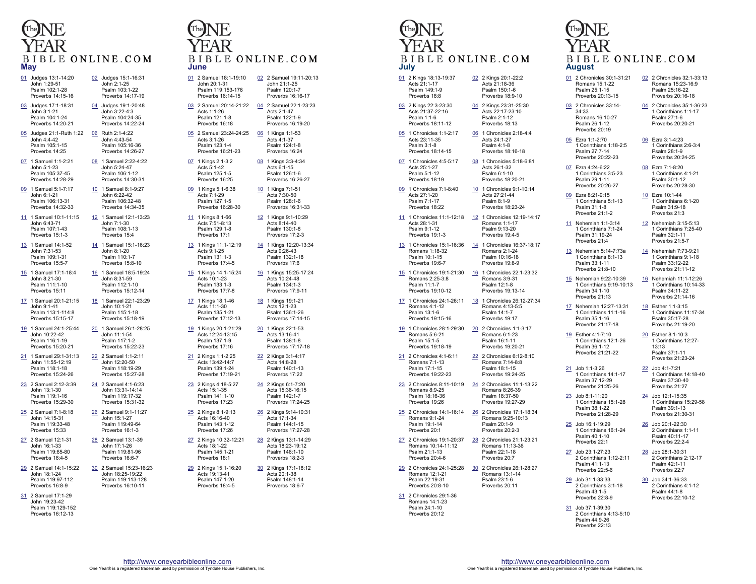

- 01 Judges 13:1-14:20 John 1:29-51 Psalm 102:1-28 Proverbs 14:15-16 02 Judges 15:1-16:31 John 2:1-25 Psalm 103:1-22 Proverbs 14:17-19
- 03 Judges 17:1-18:31 John 3:1-21 Psalm 104:1-24 Proverbs 14:20-21 04 Judges 19:1-20:48 John 3:22-4:3 Psalm 104:24-35 Proverbs 14:22-24
- 05 Judges 21:1-Ruth 1:22 06 Ruth 2:1-4:22 John 4:4-42 Psalm 105:1-15 Proverbs 14:25 John 4:43-54 Psalm 105:16-36 Proverbs 14:26-27
- 07 1 Samuel 1:1-2:21 John 5:1-23 Psalm 105:37-45 Proverbs 14:28-29 08 1 Samuel 2:22-4:22 John 5:24-47 Psalm 106:1-12 Proverbs 14:30-31 10 1 Samuel 8:1-9:27

John 6:22-42 Psalm 106:32-48 Proverbs 14:34-35

John 8:1-20 Psalm 110:1-7 Proverbs 15:8-10

24 2 Samuel 4:1-6:23 John 13:31-14:14 Psalm 119:17-32 Proverbs 15:31-32

Psalm 119:49-64

28 2 Samuel 13:1-39 John 17:1-26 Psalm 119:81-96 Proverbs 16:6-7

> John 18:25-19:22 Psalm 119:113-128 Proverbs 16:10-11

- 09 1 Samuel 5:1-7:17 John 6:1-21 Psalm 106:13-31 Proverbs 14:32-33
- 11 1 Samuel 10:1-11:15 John 6:43-71 Psalm 107:1-43 Proverbs 15:1-3 12 1 Samuel 12:1-13:23 John 7:1-30 Psalm 108:1-13 Proverbs 15:4
- 13 1 Samuel 14:1-52 John 7:31-53 Psalm 109:1-31 Proverbs 15:5-7 14 1 Samuel 15:1-16:23
- 15 1 Samuel 17:1-18:4 John 8:21-30 Psalm 111:1-10 Proverbs 15:11 16 1 Samuel 18:5-19:24 John 8:31-59 Psalm 112:1-10 Proverbs 15:12-14
- 17 1 Samuel 20:1-21:15 John 9:1-41 Psalm 113:1-114:8 Proverbs 15:15-17 18 1 Samuel 22:1-23:29 John 10:1-21 Psalm 115:1-18 Proverbs 15:18-19
- 19 1 Samuel 24:1-25:44 John 10:22-42 Psalm 116:1-19 Proverbs 15:20-21 20 1 Samuel 26:1-28:25 John 11:1-54 Psalm 117:1-2 Proverbs 15:22-23
- 21 1 Samuel 29:1-31:13 John 11:55-12:19 Psalm 118:1-18 Proverbs 15:24-26 22 2 Samuel 1:1-2:11 John 12:20-50 Psalm 118:19-29 Proverbs 15:27-28
- 23 2 Samuel 2:12-3:39 John 13:1-30 Psalm 119:1-16 Proverbs 15:29-30
- 25 2 Samuel 7:1-8:18 John 14:15-31 Psalm 119:33-48 Proverbs 15:33 26 2 Samuel 9:1-11:27 John 15:1-27 Proverbs 16:1-3
- 27 2 Samuel 12:1-31 John 16:1-33 Psalm 119:65-80 Proverbs 16:4-5
- 29 2 Samuel 14:1-15:22 John 18:1-24 Psalm 119:97-112 Proverbs 16:8-9 30 2 Samuel 15:23-16:23
- 31 2 Samuel 17:1-29 John 19:23-42 Psalm 119:129-152 Proverbs 16:12-13

#### BIBLE ONLINE.COM **June**

| <u>01</u> | 2 Samuel 18:1-19:10<br>John 20:1-31<br>Psalm 119:153-176<br>Proverbs 16:14-15 | <u>02</u>       | 2 Samuel 19:11-20:13<br>John 21:1-25<br>Psalm 120:1-7<br>Proverbs 16:16-17  |
|-----------|-------------------------------------------------------------------------------|-----------------|-----------------------------------------------------------------------------|
| 03        | 2 Samuel 20:14-21:22<br>Acts 1:1-26<br>Psalm 121:1-8<br>Proverbs 16:18        | 04              | 2 Samuel 22:1-23:23<br>Acts 2:1-47<br>Psalm 122:1-9<br>Proverbs 16:19-20    |
| 05        | 2 Samuel 23:24-24:25<br>Acts 3:1-26<br>Psalm 123:1-4<br>Proverbs 16:21-23     | 06              | 1 Kings 1:1-53<br>Acts 4:1-37<br>Psalm 124:1-8<br>Proverbs 16:24            |
| <u>07</u> | 1 Kings 2:1-3:2<br>Acts 5:1-42<br>Psalm 125:1-5<br>Proverbs 16:25             | 08              | 1 Kings 3:3-4:34<br>Acts 6:1-15<br>Psalm 126:1-6<br>Proverbs 16:26-27       |
| <u>09</u> | 1 Kings 5:1-6:38<br>Acts 7:1-29<br>Psalm 127:1-5<br>Proverbs 16:28-30         | <u>10</u>       | 1 Kings 7:1-51<br>Acts 7:30-50<br>Psalm 128:1-6<br>Proverbs 16:31-33        |
| 11        | 1 Kings 8:1-66<br>Acts 7:51-8:13<br>Psalm 129:1-8<br>Proverbs 17:1            | 12              | 1 Kings 9:1-10:29<br>Acts 8:14-40<br>Psalm 130:1-8<br>Proverbs 17:2-3       |
| 13        | 1 Kings 11:1-12:19<br>Acts 9:1-25<br>Psalm 131:1-3<br>Proverbs 17:4-5         | <u>14</u>       | 1 Kings 12:20-13:34<br>Acts 9:26-43<br>Psalm 132:1-18<br>Proverbs 17:6      |
| 15        | 1 Kings 14:1-15:24<br>Acts 10:1-23<br>Psalm 133:1-3<br>Proverbs 17:7-8        | 16              | 1 Kings 15:25-17:24<br>Acts 10:24-48<br>Psalm 134:1-3<br>Proverbs 17:9-11   |
| <u>17</u> | 1 Kings 18:1-46<br>Acts 11:1-30<br>Psalm 135:1-21<br>Proverbs 17:12-13        | <u>18</u>       | 1 Kings 19:1-21<br>Acts 12:1-23<br>Psalm 136:1-26<br>Proverbs 17:14-15      |
| <u>19</u> | 1 Kings 20:1-21:29<br>Acts 12:24-13:15<br>Psalm 137:1-9<br>Proverbs 17:16     | 20              | 1 Kings 22:1-53<br>Acts 13:16-41<br>Psalm 138:1-8<br>Proverbs 17:17-18      |
| 21        | 2 Kings 1:1-2:25<br>Acts 13:42-14:7<br>Psalm 139:1-24<br>Proverbs 17:19-21    | 22              | 2 Kings 3:1-4:17<br>Acts 14:8-28<br>Psalm 140:1-13<br>Proverbs 17:22        |
| 23        | 2 Kings 4:18-5:27<br>Acts 15:1-35<br>Psalm 141:1-10<br>Proverbs 17:23         | 24              | 2 Kings 6:1-7:20<br>Acts 15:36-16:15<br>Psalm 142:1-7<br>Proverbs 17:24-25  |
| 25        | 2 Kings 8:1-9:13<br>Acts 16:16-40<br>Psalm 143:1-12<br>Proverbs 17:26         | 26              | 2 Kings 9:14-10:31<br>Acts 17:1-34<br>Psalm 144:1-15<br>Proverbs 17:27-28   |
| 27        | 2 Kings 10:32-12:21<br>Acts 18:1-22<br>Psalm 145:1-21<br>Proverbs 18:1        | 28              | 2 Kings 13:1-14:29<br>Acts 18:23-19:12<br>Psalm 146:1-10<br>Proverbs 18:2-3 |
| 29        | 2 Kings 15:1-16:20<br>Acts 19:13-41<br>Psalm 147:1-20<br>Proverbs 18:4-5      | $\overline{30}$ | 2 Kings 17:1-18:12<br>Acts 20:1-38<br>Psalm 148:1-14<br>Proverbs 18:6-7     |

#### BIBLE ONLINE.COM **July**

| 01 2 Kings 18:13-19:37<br>Acts 21:1-17<br>Psalm 149:1-9<br>Proverbs 18:8            |    | 02 2 Kings 20:1-22:2<br>Acts 21:18-36<br>Psalm 150:1-6<br>Proverbs 18:9-10       |
|-------------------------------------------------------------------------------------|----|----------------------------------------------------------------------------------|
| 03 2 Kings 22:3-23:30<br>Acts 21:37-22:16<br>Psalm 1:1-6<br>Proverbs 18:11-12       |    | 04 2 Kings 23:31-25:30<br>Acts 22:17-23:10<br>Psalm 2:1-12<br>Proverbs 18:13     |
| 05 1 Chronicles 1:1-2:17<br>Acts 23:11-35<br>Psalm 3:1-8<br>Proverbs 18:14-15       |    | 06 1 Chronicles 2:18-4:4<br>Acts 24:1-27<br>Psalm 4:1-8<br>Proverbs 18:16-18     |
| 07 1 Chronicles 4:5-5:17<br>Acts 25:1-27<br>Psalm 5:1-12<br>Proverbs 18:19          |    | 08 1 Chronicles 5:18-6:81<br>Acts 26:1-32<br>Psalm 6:1-10<br>Proverbs 18:20-21   |
| 09 1 Chronicles 7:1-8:40<br>Acts 27:1-20<br>Psalm 7:1-17<br>Proverbs 18:22          |    | 10 1 Chronicles 9:1-10:14<br>Acts 27:21-44<br>Psalm 8:1-9<br>Proverbs 18:23-24   |
| 11 1 Chronicles 11:1-12:18<br>Acts 28:1-31<br>Psalm 9:1-12<br>Proverbs 19:1-3       |    | 12 1 Chronicles 12:19-14:17<br>Romans 1:1-17<br>Psalm 9:13-20<br>Proverbs 19:4-5 |
| 13 1 Chronicles 15:1-16:36<br>Romans 1:18-32<br>Psalm 10:1-15<br>Proverbs 19:6-7    | 14 | 1 Chronicles 16:37-18:17<br>Romans 2:1-24<br>Psalm 10:16-18<br>Proverbs 19:8-9   |
| 15 1 Chronicles 19:1-21:30<br>Romans 2:25-3:8<br>Psalm 11:1-7<br>Proverbs 19:10-12  |    | 16 1 Chronicles 22:1-23:32<br>Romans 3:9-31<br>Psalm 12:1-8<br>Proverbs 19:13-14 |
| 17 1 Chronicles 24:1-26:11<br>Romans 4:1-12<br>Psalm 13:1-6<br>Proverbs 19:15-16    | 18 | 1 Chronicles 26:12-27:34<br>Romans 4:13-5:5<br>Psalm 14:1-7<br>Proverbs 19:17    |
| 1 Chronicles 28:1-29:30<br>19<br>Romans 5:6-21<br>Psalm 15:1-5<br>Proverbs 19:18-19 | 20 | 2 Chronicles 1:1-3:17<br>Romans 6:1-23<br>Psalm 16:1-11<br>Proverbs 19:20-21     |

- 21 2 Chronicles 4:1-6:11 Romans 7:1-13 Psalm 17:1-15 Proverbs 19:22-23 22 2 Chronicles 6:12-8:10 Romans 7:14-8:8 Psalm 18:1-15 Proverbs 19:24-25
- 23 2 Chronicles 8:11-10:19 24 2 Chronicles 11:1-13:22 Romans 8:9-25 Psalm 18:16-36 Proverbs 19:26 Romans 8:26-39 Psalm 18:37-50 Proverbs 19:27-29
- 25 2 Chronicles 14:1-16:14 26 2 Chronicles 17:1-18:34 Romans 9:1-24 Psalm 19:1-14 Proverbs 20:1 Romans 9:25-10:13 Psalm 20:1-9 Proverbs 20:2-3
- 27 2 Chronicles 19:1-20:37 28 2 Chronicles 21:1-23:21 Romans 10:14-11:12 Psalm 21:1-13 Proverbs 20:4-6 Romans 11:13-36 Psalm 22:1-18 Proverbs 20:7
- 29 2 Chronicles 24:1-25:28 30 2 Chronicles 26:1-28:27 Romans 12:1-21 Psalm 22:19-31 Proverbs 20:8-10 Romans 13:1-14 Psalm 23:1-6 Proverbs 20:11

#### 31 2 Chronicles 29:1-36 Romans 14:1-23 Psalm 24:1-10 Proverbs 20:12

### BIBLE ONLINE.COM **August**

01 2 Chronicles 30:1-31:21 Romans 15:1-22 Psalm 25:1-15 Proverbs 20:13-15

03 2 Chronicles 33:14- 34:33 Romans 16:10-27 Psalm 26:1-12 Proverbs 20:19

05 Ezra 1:1-2:70 1 Corinthians 1:18-2:5 Psalm 27:7-14 Proverbs 20:22-23

07 Ezra 4:24-6:22 1 Corinthians 3:5-23 Psalm 29:1-11 Proverbs 20:26-27

09 Ezra 8:21-9:15

Psalm 31:1-8 Proverbs 21:1-2

11 Nehemiah 1:1-3:14 1 Corinthians 7:1-24 Psalm 31:19-24 Proverbs 21:4

> 1 Corinthians 8:1-13 Psalm 33:1-11 Proverbs 21:8-10

Psalm 34:1-10

Psalm 35:1-16

19 Esther 4:1-7:10

21 Job 1:1-3:26

23 Job 8:1-11:20 1 Corinthians 15:1-28 Psalm 38:1-22 Proverbs 21:28-29

25 Job 16:1-19:29

27 Job 23:1-27:23

29 Job 31:1-33:33

Psalm 43:1-5 Proverbs 22:8-9

Psalm 41:1-13 Proverbs 22:5-6

Psalm 40:1-10 Proverbs 22:1

Psalm 36:1-12 Proverbs 21:21-22

Psalm 37:12-29 Proverbs 21:25-26

Romans 15:23-16:9 Psalm 25:16-22 Proverbs 20:16-18 04 2 Chronicles 35:1-36:23

02 2 Chronicles 32:1-33:13

- 1 Corinthians 1:1-17 Psalm 27:1-6 Proverbs 20:20-21
- 06 Ezra 3:1-4:23 1 Corinthians 2:6-3:4 Psalm 28:1-9 Proverbs 20:24-25
- 08 Ezra 7:1-8:20 1 Corinthians 4:1-21 Psalm 30:1-12 Proverbs 20:28-30
- 1 Corinthians 5:1-13 10 Ezra 10:1-44 1 Corinthians 6:1-20 Psalm 31:9-18 Proverbs 21:3
	- 12 Nehemiah 3:15-5:13 1 Corinthians 7:25-40 Psalm 32:1-11 Proverbs 21:5-7
- 13 Nehemiah 5:14-7:73a 14 Nehemiah 7:73-9:21 1 Corinthians 9:1-18 Psalm 33:12-22 Proverbs 21:11-12
- 15 Nehemiah 9:22-10:39 1 Corinthians 9:19-10:13Proverbs 21:13 16 Nehemiah 11:1-12:26 1 Corinthians 10:14-33 Psalm 34:11-22 Proverbs 21:14-16
- 17 Nehemiah 12:27-13:31 1 Corinthians 11:1-16 Proverbs 21:17-18 18 Esther 1:1-3:15 1 Corinthians 11:17-34 Psalm 35:17-28 Proverbs 21:19-20
	- 1 Corinthians 12:1-26 20 Esther 8:1-10:3 1 Corinthians 12:27- 13:13 Psalm 37:1-11 Proverbs 21:23-24
	- 1 Corinthians 14:1-17 22 Job 4:1-7:21 1 Corinthians 14:18-40 Psalm 37:30-40 Proverbs 21:27
		- 24 Job 12:1-15:35 1 Corinthians 15:29-58 Psalm 39:1-13 Proverbs 21:30-31
	- 1 Corinthians 16:1-24 26 Job 20:1-22:30 2 Corinthians 1:1-11 Psalm 40:11-17 Proverbs 22:2-4
- 2 Corinthians 1:12-2:11 28 Job 28:1-30:31 2 Corinthians 2:12-17 Psalm 42:1-11 Proverbs 22:7
- 2 Corinthians 3:1-18 30 Job 34:1-36:33 2 Corinthians 4:1-12 Psalm 44:1-8 Proverbs 22:10-12
- 31 Job 37:1-39:30 2 Corinthians 4:13-5:10 Psalm 44:9-26 Proverbs 22:13